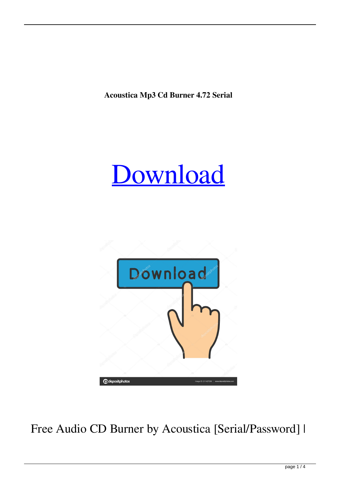**Acoustica Mp3 Cd Burner 4.72 Serial**





Free Audio CD Burner by Acoustica [Serial/Password] |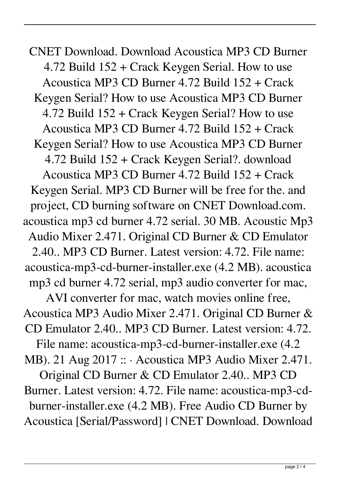CNET Download. Download Acoustica MP3 CD Burner 4.72 Build 152 + Crack Keygen Serial. How to use Acoustica MP3 CD Burner 4.72 Build 152 + Crack Keygen Serial? How to use Acoustica MP3 CD Burner 4.72 Build 152 + Crack Keygen Serial? How to use Acoustica MP3 CD Burner 4.72 Build 152 + Crack Keygen Serial? How to use Acoustica MP3 CD Burner 4.72 Build 152 + Crack Keygen Serial?. download Acoustica MP3 CD Burner 4.72 Build 152 + Crack Keygen Serial. MP3 CD Burner will be free for the. and project, CD burning software on CNET Download.com. acoustica mp3 cd burner 4.72 serial. 30 MB. Acoustic Mp3 Audio Mixer 2.471. Original CD Burner & CD Emulator 2.40.. MP3 CD Burner. Latest version: 4.72. File name: acoustica-mp3-cd-burner-installer.exe (4.2 MB). acoustica mp3 cd burner 4.72 serial, mp3 audio converter for mac, AVI converter for mac, watch movies online free, Acoustica MP3 Audio Mixer 2.471. Original CD Burner & CD Emulator 2.40.. MP3 CD Burner. Latest version: 4.72. File name: acoustica-mp3-cd-burner-installer.exe (4.2 MB). 21 Aug 2017 :: · Acoustica MP3 Audio Mixer 2.471. Original CD Burner & CD Emulator 2.40.. MP3 CD Burner. Latest version: 4.72. File name: acoustica-mp3-cdburner-installer.exe (4.2 MB). Free Audio CD Burner by Acoustica [Serial/Password] | CNET Download. Download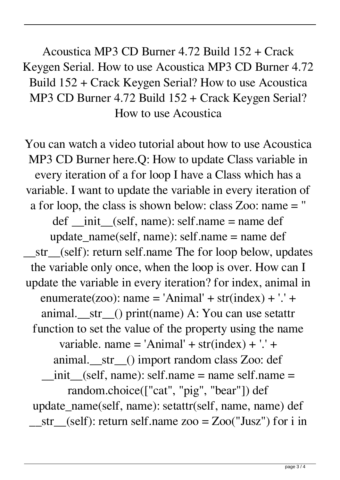Acoustica MP3 CD Burner 4.72 Build 152 + Crack Keygen Serial. How to use Acoustica MP3 CD Burner 4.72 Build 152 + Crack Keygen Serial? How to use Acoustica MP3 CD Burner 4.72 Build 152 + Crack Keygen Serial? How to use Acoustica

You can watch a video tutorial about how to use Acoustica MP3 CD Burner here.Q: How to update Class variable in every iteration of a for loop I have a Class which has a variable. I want to update the variable in every iteration of a for loop, the class is shown below: class Zoo: name = '' def  $\quad$  init (self, name): self.name = name def update  $name(self, name)$ : self.name = name def \_\_str\_\_(self): return self.name The for loop below, updates the variable only once, when the loop is over. How can I update the variable in every iteration? for index, animal in enumerate(zoo): name = 'Animal' +  $str(index) + '.' +$ animal. str () print(name) A: You can use setattr function to set the value of the property using the name variable. name = 'Animal' +  $str(index) + '.' +$ animal.\_\_str\_\_() import random class Zoo: def  $_1$ init\_(self, name): self.name = name self.name = random.choice(["cat", "pig", "bear"]) def update\_name(self, name): setattr(self, name, name) def  $str_{\text{S}}(self)$ : return self.name zoo = Zoo("Jusz") for i in